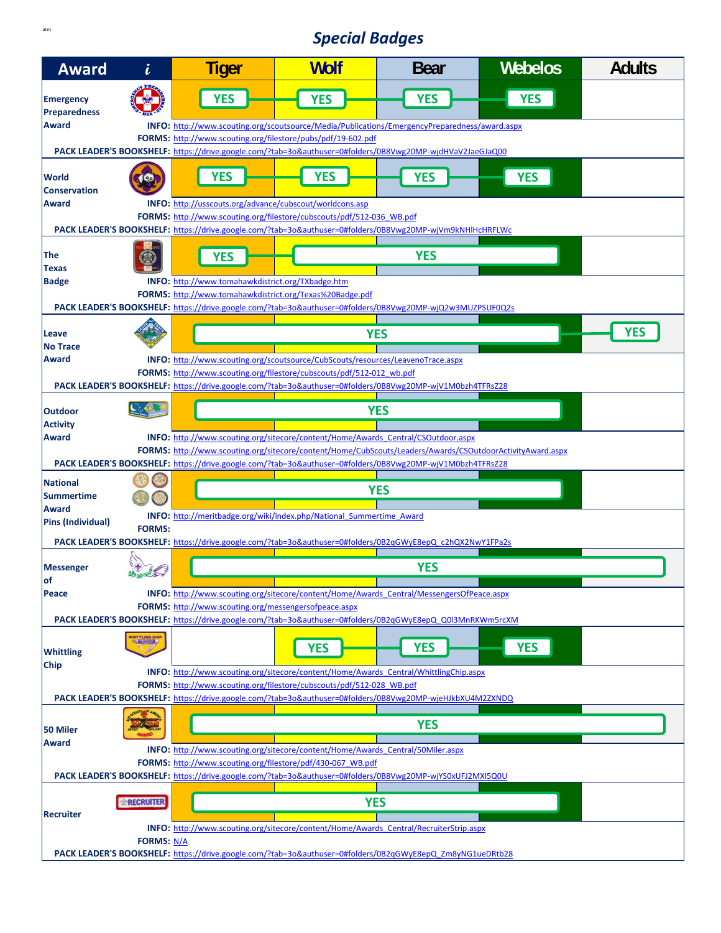## **Special Badges**

| <b>Award</b>                            | i                 | <b>Tiger</b>                                                                                                                                                                                                                                   | <b>Wolf</b> | <b>Bear</b>                                                                                               | <b>Webelos</b> | <b>Adults</b> |  |  |  |
|-----------------------------------------|-------------------|------------------------------------------------------------------------------------------------------------------------------------------------------------------------------------------------------------------------------------------------|-------------|-----------------------------------------------------------------------------------------------------------|----------------|---------------|--|--|--|
| <b>Emergency</b><br><b>Preparedness</b> |                   | <b>YES</b>                                                                                                                                                                                                                                     | <b>YES</b>  | <b>YES</b>                                                                                                | <b>YES</b>     |               |  |  |  |
| <b>Award</b>                            |                   | INFO: http://www.scouting.org/scoutsource/Media/Publications/EmergencyPreparedness/award.aspx<br>FORMS: http://www.scouting.org/filestore/pubs/pdf/19-602.pdf                                                                                  |             |                                                                                                           |                |               |  |  |  |
|                                         |                   |                                                                                                                                                                                                                                                |             | PACK LEADER'S BOOKSHELF: https://drive.google.com/?tab=3o&authuser=0#folders/0B8Vwg20MP-wjdHVaV2JaeGJaQ00 |                |               |  |  |  |
| <b>World</b><br><b>Conservation</b>     | 190               | <b>YES</b>                                                                                                                                                                                                                                     | <b>YES</b>  | <b>YES</b>                                                                                                | <b>YES</b>     |               |  |  |  |
| Award                                   |                   | INFO: http://usscouts.org/advance/cubscout/worldcons.asp<br>FORMS: http://www.scouting.org/filestore/cubscouts/pdf/512-036 WB.pdf<br>PACK LEADER'S BOOKSHELF: https://drive.google.com/?tab=3o&authuser=0#folders/0B8Vwg20MP-wjVm9kNHlHcHRFLWc |             |                                                                                                           |                |               |  |  |  |
| The<br><b>Texas</b>                     |                   | <b>YES</b>                                                                                                                                                                                                                                     |             | <b>YES</b>                                                                                                |                |               |  |  |  |
| <b>Badge</b>                            |                   | INFO: http://www.tomahawkdistrict.org/TXbadge.htm<br>FORMS: http://www.tomahawkdistrict.org/Texas%20Badge.pdf<br>PACK LEADER'S BOOKSHELF: https://drive.google.com/?tab=3o&authuser=0#folders/0B8Vwg20MP-wjQ2w3MUZPSUF0Q2s                     |             |                                                                                                           |                |               |  |  |  |
|                                         |                   |                                                                                                                                                                                                                                                |             |                                                                                                           |                |               |  |  |  |
| <b>Leave</b><br><b>No Trace</b>         |                   |                                                                                                                                                                                                                                                |             | <b>YES</b>                                                                                                |                | <b>YES</b>    |  |  |  |
| Award                                   |                   | INFO: http://www.scouting.org/scoutsource/CubScouts/resources/LeavenoTrace.aspx<br>FORMS: http://www.scouting.org/filestore/cubscouts/pdf/512-012 wb.pdf                                                                                       |             |                                                                                                           |                |               |  |  |  |
|                                         |                   |                                                                                                                                                                                                                                                |             | PACK LEADER'S BOOKSHELF: https://drive.google.com/?tab=3o&authuser=0#folders/0B8Vwg20MP-wjV1M0bzh4TFRsZ28 |                |               |  |  |  |
| <b>Outdoor</b><br><b>Activity</b>       |                   |                                                                                                                                                                                                                                                |             | <b>YES</b>                                                                                                |                |               |  |  |  |
| Award                                   |                   | INFO: http://www.scouting.org/sitecore/content/Home/Awards Central/CSOutdoor.aspx                                                                                                                                                              |             |                                                                                                           |                |               |  |  |  |
|                                         |                   | FORMS: http://www.scouting.org/sitecore/content/Home/CubScouts/Leaders/Awards/CSOutdoorActivityAward.aspx<br>PACK LEADER'S BOOKSHELF: https://drive.google.com/?tab=3o&authuser=0#folders/0B8Vwg20MP-wjV1M0bzh4TFRsZ28                         |             |                                                                                                           |                |               |  |  |  |
|                                         |                   |                                                                                                                                                                                                                                                |             |                                                                                                           |                |               |  |  |  |
| <b>National</b><br><b>Summertime</b>    |                   |                                                                                                                                                                                                                                                |             | <b>YES</b>                                                                                                |                |               |  |  |  |
| Award                                   | INFO:             | http://meritbadge.org/wiki/index.php/National Summertime Award                                                                                                                                                                                 |             |                                                                                                           |                |               |  |  |  |
| Pins (Individual)                       | <b>FORMS:</b>     | PACK LEADER'S BOOKSHELF: https://drive.google.com/?tab=3o&authuser=0#folders/0B2qGWvE8epQ c2hQX2NwY1FPa2s                                                                                                                                      |             |                                                                                                           |                |               |  |  |  |
|                                         |                   |                                                                                                                                                                                                                                                |             |                                                                                                           |                |               |  |  |  |
| <b>Messenger</b><br>lof                 |                   |                                                                                                                                                                                                                                                |             | <b>YES</b>                                                                                                |                |               |  |  |  |
| Peace                                   |                   | <b>INFO:</b> http://www.scouting.org/sitecore/content/Home/Awards Central/MessengersOfPeace.aspx                                                                                                                                               |             |                                                                                                           |                |               |  |  |  |
|                                         |                   | <b>FORMS:</b> http://www.scouting.org/messengersofpeace.aspx<br>PACK LEADER'S BOOKSHELF: https://drive.google.com/?tab=3o&authuser=0#folders/0B2qGWyE8epQ_Q0I3MnRKWm5rcXM                                                                      |             |                                                                                                           |                |               |  |  |  |
| <b>Whittling</b>                        |                   |                                                                                                                                                                                                                                                | <b>YES</b>  | <b>YES</b>                                                                                                | <b>YES</b>     |               |  |  |  |
| <b>Chip</b>                             |                   | <b>INFO:</b> http://www.scouting.org/sitecore/content/Home/Awards Central/WhittlingChip.aspx                                                                                                                                                   |             |                                                                                                           |                |               |  |  |  |
|                                         |                   | FORMS: http://www.scouting.org/filestore/cubscouts/pdf/512-028 WB.pdf<br>PACK LEADER'S BOOKSHELF: https://drive.google.com/?tab=3o&authuser=0#folders/0B8Vwg20MP-wjeHJkbXU4M2ZXNDQ                                                             |             |                                                                                                           |                |               |  |  |  |
|                                         |                   |                                                                                                                                                                                                                                                |             |                                                                                                           |                |               |  |  |  |
| 50 Miler<br><b>Award</b>                |                   |                                                                                                                                                                                                                                                |             | <b>YES</b>                                                                                                |                |               |  |  |  |
|                                         |                   | <b>INFO:</b> http://www.scouting.org/sitecore/content/Home/Awards Central/50Miler.aspx<br>FORMS: http://www.scouting.org/filestore/pdf/430-067 WB.pdf                                                                                          |             |                                                                                                           |                |               |  |  |  |
|                                         |                   |                                                                                                                                                                                                                                                |             | PACK LEADER'S BOOKSHELF: https://drive.google.com/?tab=3o&authuser=0#folders/0B8Vwg20MP-wjYS0xUFJ2MXI5Q0U |                |               |  |  |  |
| <b>Recruiter</b>                        |                   |                                                                                                                                                                                                                                                |             |                                                                                                           |                |               |  |  |  |
|                                         | RECRUITER         |                                                                                                                                                                                                                                                | <b>YES</b>  |                                                                                                           |                |               |  |  |  |
|                                         | <b>FORMS: N/A</b> |                                                                                                                                                                                                                                                |             | <b>INFO:</b> http://www.scouting.org/sitecore/content/Home/Awards Central/RecruiterStrip.aspx             |                |               |  |  |  |
|                                         |                   |                                                                                                                                                                                                                                                |             | PACK LEADER'S BOOKSHELF: https://drive.google.com/?tab=3o&authuser=0#folders/0B2qGWyE8epQ_Zm8yNG1ueDRtb28 |                |               |  |  |  |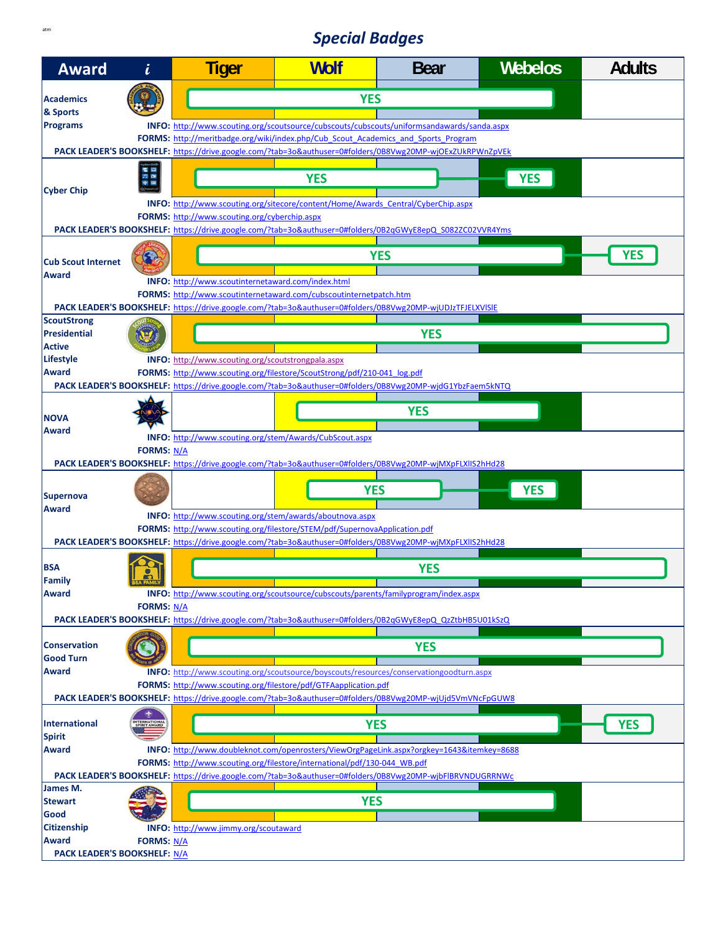## **Special Badges**